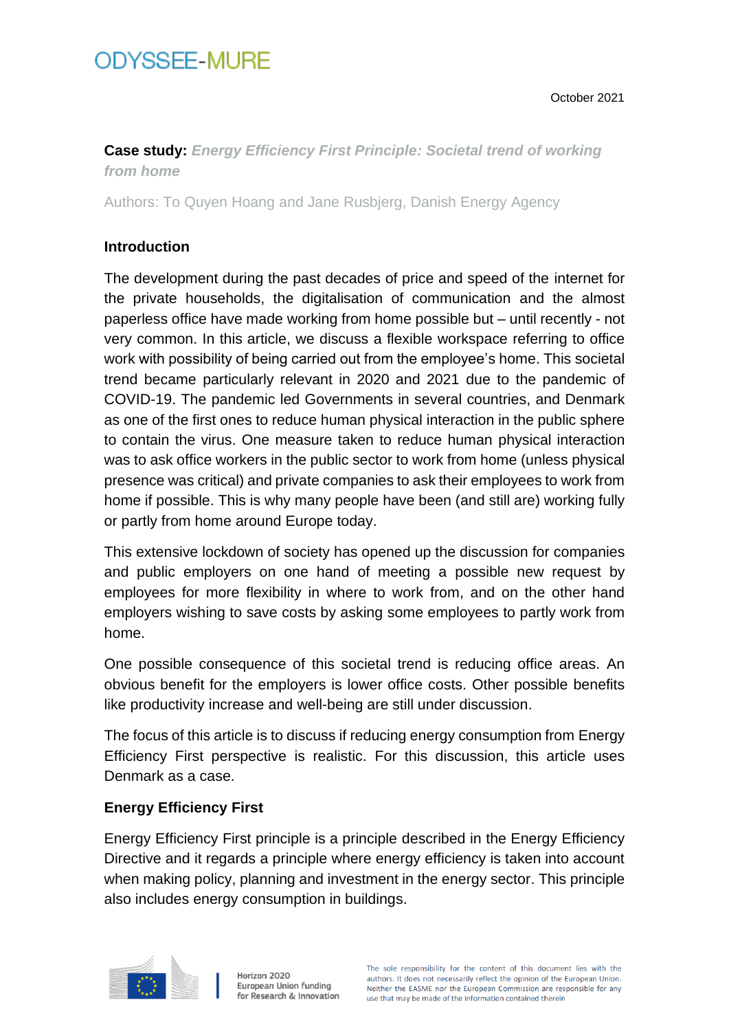October 2021

## **Case study:** *Energy Efficiency First Principle: Societal trend of working from home*

Authors: To Quyen Hoang and Jane Rusbjerg, Danish Energy Agency

### **Introduction**

The development during the past decades of price and speed of the internet for the private households, the digitalisation of communication and the almost paperless office have made working from home possible but – until recently - not very common. In this article, we discuss a flexible workspace referring to office work with possibility of being carried out from the employee's home. This societal trend became particularly relevant in 2020 and 2021 due to the pandemic of COVID-19. The pandemic led Governments in several countries, and Denmark as one of the first ones to reduce human physical interaction in the public sphere to contain the virus. One measure taken to reduce human physical interaction was to ask office workers in the public sector to work from home (unless physical presence was critical) and private companies to ask their employees to work from home if possible. This is why many people have been (and still are) working fully or partly from home around Europe today.

This extensive lockdown of society has opened up the discussion for companies and public employers on one hand of meeting a possible new request by employees for more flexibility in where to work from, and on the other hand employers wishing to save costs by asking some employees to partly work from home.

One possible consequence of this societal trend is reducing office areas. An obvious benefit for the employers is lower office costs. Other possible benefits like productivity increase and well-being are still under discussion.

The focus of this article is to discuss if reducing energy consumption from Energy Efficiency First perspective is realistic. For this discussion, this article uses Denmark as a case.

### **Energy Efficiency First**

Energy Efficiency First principle is a principle described in the Energy Efficiency Directive and it regards a principle where energy efficiency is taken into account when making policy, planning and investment in the energy sector. This principle also includes energy consumption in buildings.

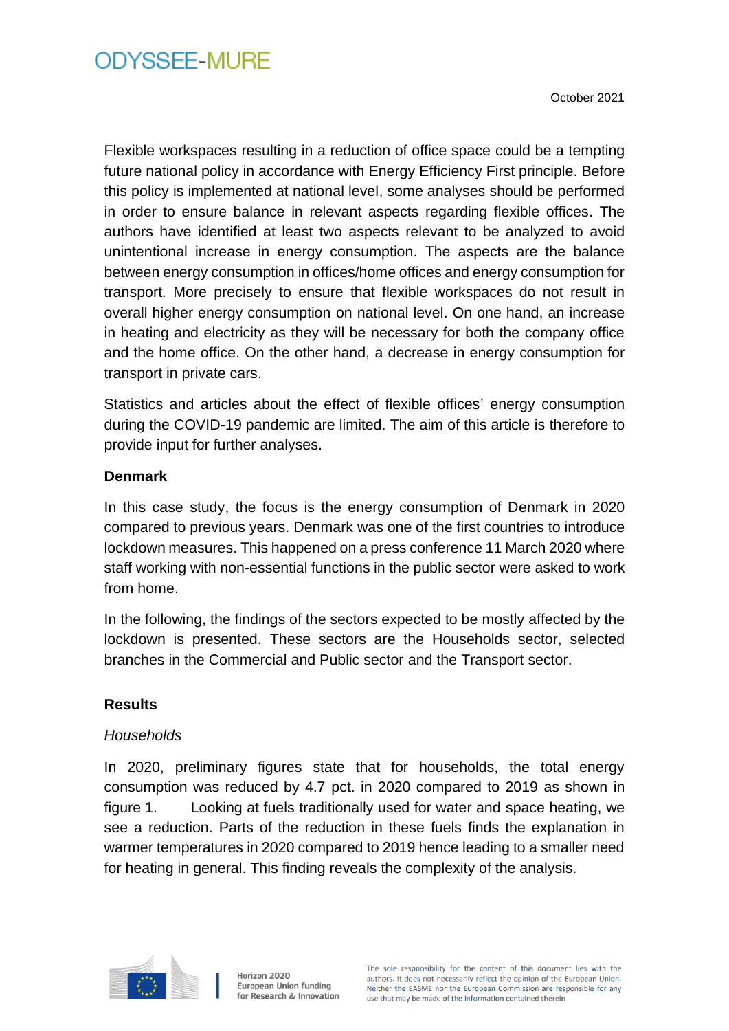Flexible workspaces resulting in a reduction of office space could be a tempting future national policy in accordance with Energy Efficiency First principle. Before this policy is implemented at national level, some analyses should be performed in order to ensure balance in relevant aspects regarding flexible offices. The authors have identified at least two aspects relevant to be analyzed to avoid unintentional increase in energy consumption. The aspects are the balance between energy consumption in offices/home offices and energy consumption for transport. More precisely to ensure that flexible workspaces do not result in overall higher energy consumption on national level. On one hand, an increase in heating and electricity as they will be necessary for both the company office and the home office. On the other hand, a decrease in energy consumption for transport in private cars.

Statistics and articles about the effect of flexible offices' energy consumption during the COVID-19 pandemic are limited. The aim of this article is therefore to provide input for further analyses.

### **Denmark**

In this case study, the focus is the energy consumption of Denmark in 2020 compared to previous years. Denmark was one of the first countries to introduce lockdown measures. This happened on a press conference 11 March 2020 where staff working with non-essential functions in the public sector were asked to work from home.

In the following, the findings of the sectors expected to be mostly affected by the lockdown is presented. These sectors are the Households sector, selected branches in the Commercial and Public sector and the Transport sector.

### **Results**

### *Households*

In 2020, preliminary figures state that for households, the total energy consumption was reduced by 4.7 pct. in 2020 compared to 2019 as shown in figure 1. Looking at fuels traditionally used for water and space heating, we see a reduction. Parts of the reduction in these fuels finds the explanation in warmer temperatures in 2020 compared to 2019 hence leading to a smaller need for heating in general. This finding reveals the complexity of the analysis.

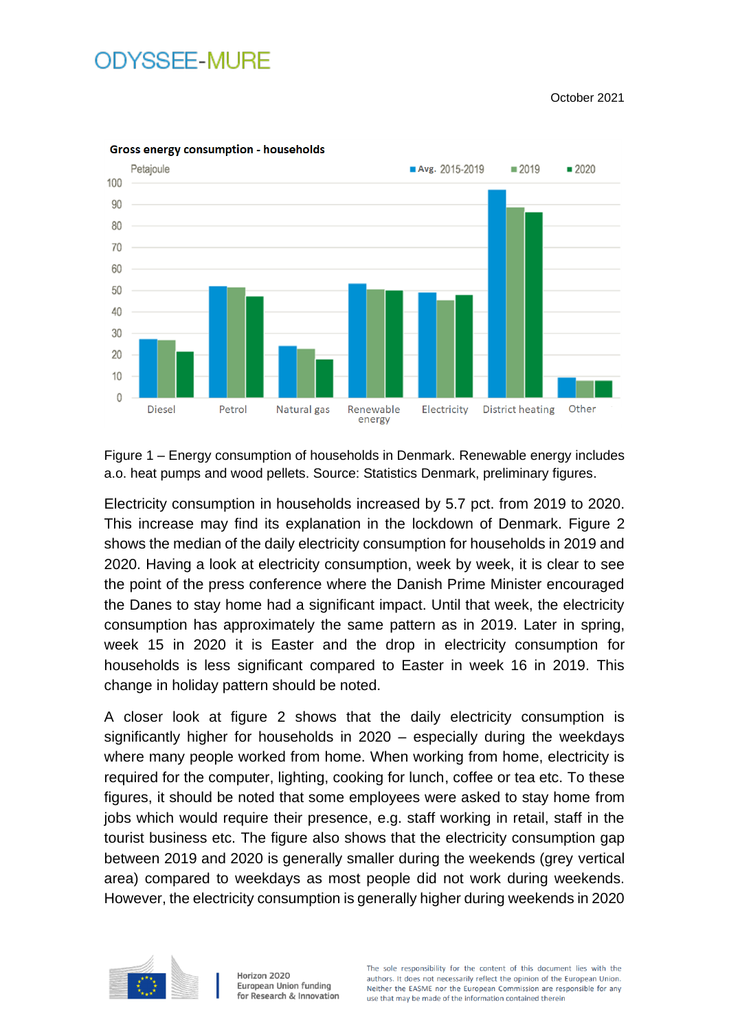October 2021



Figure 1 – Energy consumption of households in Denmark. Renewable energy includes a.o. heat pumps and wood pellets. Source: Statistics Denmark, preliminary figures.

Electricity consumption in households increased by 5.7 pct. from 2019 to 2020. This increase may find its explanation in the lockdown of Denmark. Figure 2 shows the median of the daily electricity consumption for households in 2019 and 2020. Having a look at electricity consumption, week by week, it is clear to see the point of the press conference where the Danish Prime Minister encouraged the Danes to stay home had a significant impact. Until that week, the electricity consumption has approximately the same pattern as in 2019. Later in spring, week 15 in 2020 it is Easter and the drop in electricity consumption for households is less significant compared to Easter in week 16 in 2019. This change in holiday pattern should be noted.

A closer look at figure 2 shows that the daily electricity consumption is significantly higher for households in 2020 – especially during the weekdays where many people worked from home. When working from home, electricity is required for the computer, lighting, cooking for lunch, coffee or tea etc. To these figures, it should be noted that some employees were asked to stay home from jobs which would require their presence, e.g. staff working in retail, staff in the tourist business etc. The figure also shows that the electricity consumption gap between 2019 and 2020 is generally smaller during the weekends (grey vertical area) compared to weekdays as most people did not work during weekends. However, the electricity consumption is generally higher during weekends in 2020

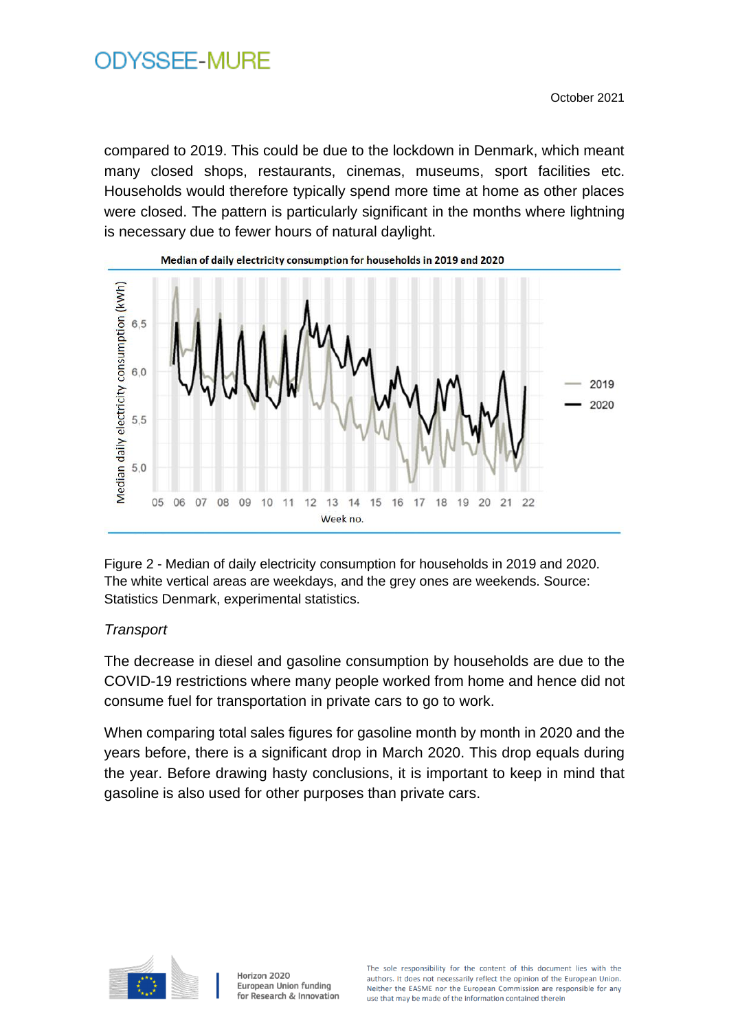compared to 2019. This could be due to the lockdown in Denmark, which meant many closed shops, restaurants, cinemas, museums, sport facilities etc. Households would therefore typically spend more time at home as other places were closed. The pattern is particularly significant in the months where lightning is necessary due to fewer hours of natural daylight.



Figure 2 - Median of daily electricity consumption for households in 2019 and 2020. The white vertical areas are weekdays, and the grey ones are weekends. Source: Statistics Denmark, experimental statistics.

## *Transport*

The decrease in diesel and gasoline consumption by households are due to the COVID-19 restrictions where many people worked from home and hence did not consume fuel for transportation in private cars to go to work.

When comparing total sales figures for gasoline month by month in 2020 and the years before, there is a significant drop in March 2020. This drop equals during the year. Before drawing hasty conclusions, it is important to keep in mind that gasoline is also used for other purposes than private cars.

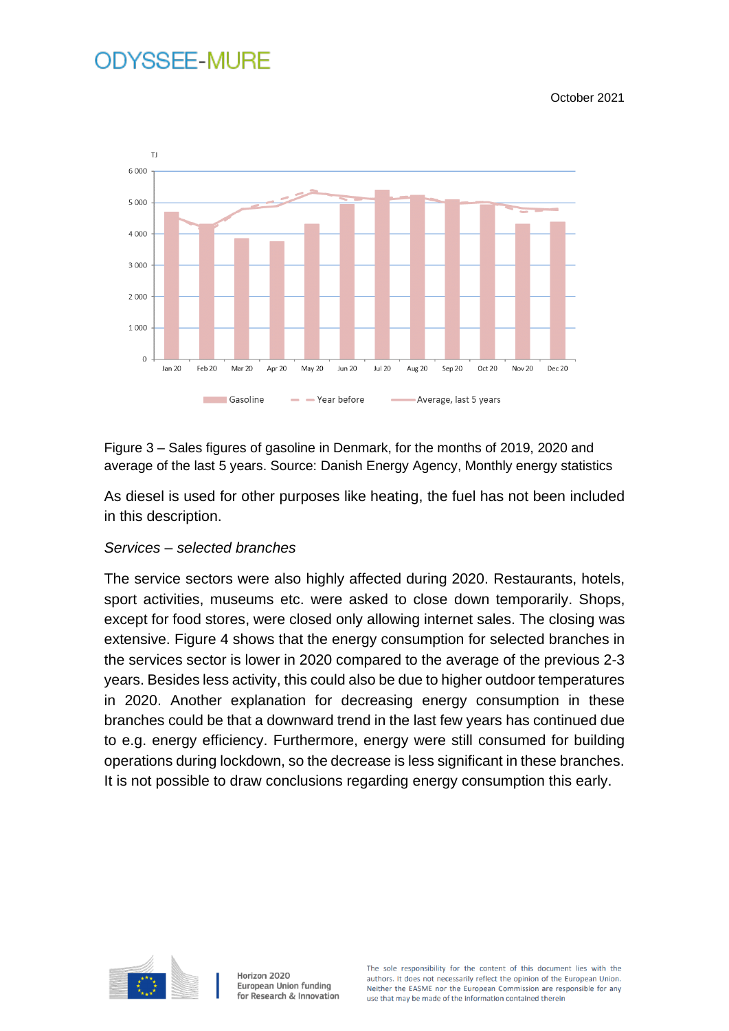October 2021



Figure 3 – Sales figures of gasoline in Denmark, for the months of 2019, 2020 and average of the last 5 years. Source: Danish Energy Agency, Monthly energy statistics

As diesel is used for other purposes like heating, the fuel has not been included in this description.

#### *Services – selected branches*

The service sectors were also highly affected during 2020. Restaurants, hotels, sport activities, museums etc. were asked to close down temporarily. Shops, except for food stores, were closed only allowing internet sales. The closing was extensive. Figure 4 shows that the energy consumption for selected branches in the services sector is lower in 2020 compared to the average of the previous 2-3 years. Besides less activity, this could also be due to higher outdoor temperatures in 2020. Another explanation for decreasing energy consumption in these branches could be that a downward trend in the last few years has continued due to e.g. energy efficiency. Furthermore, energy were still consumed for building operations during lockdown, so the decrease is less significant in these branches. It is not possible to draw conclusions regarding energy consumption this early.



Horizon 2020 European Union funding for Research & Innovation

The sole responsibility for the content of this document lies with the authors. It does not necessarily reflect the opinion of the European Union. Neither the EASME nor the European Commission are responsible for any use that may be made of the information contained therein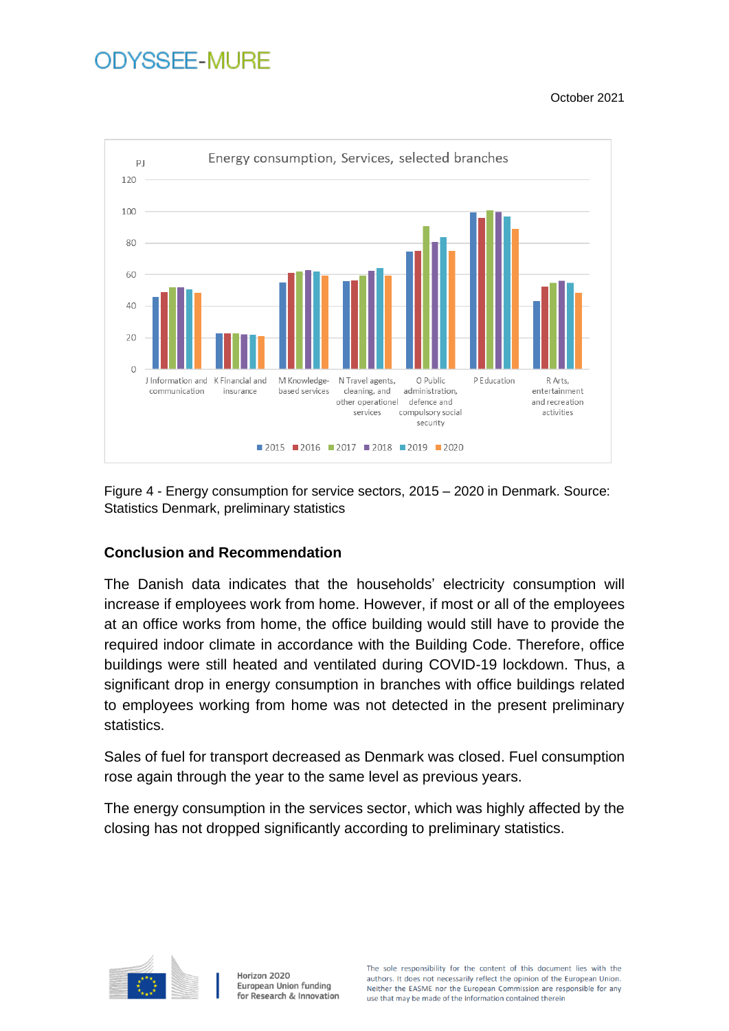October 2021



Figure 4 - Energy consumption for service sectors, 2015 – 2020 in Denmark. Source: Statistics Denmark, preliminary statistics

## **Conclusion and Recommendation**

The Danish data indicates that the households' electricity consumption will increase if employees work from home. However, if most or all of the employees at an office works from home, the office building would still have to provide the required indoor climate in accordance with the Building Code. Therefore, office buildings were still heated and ventilated during COVID-19 lockdown. Thus, a significant drop in energy consumption in branches with office buildings related to employees working from home was not detected in the present preliminary statistics.

Sales of fuel for transport decreased as Denmark was closed. Fuel consumption rose again through the year to the same level as previous years.

The energy consumption in the services sector, which was highly affected by the closing has not dropped significantly according to preliminary statistics.

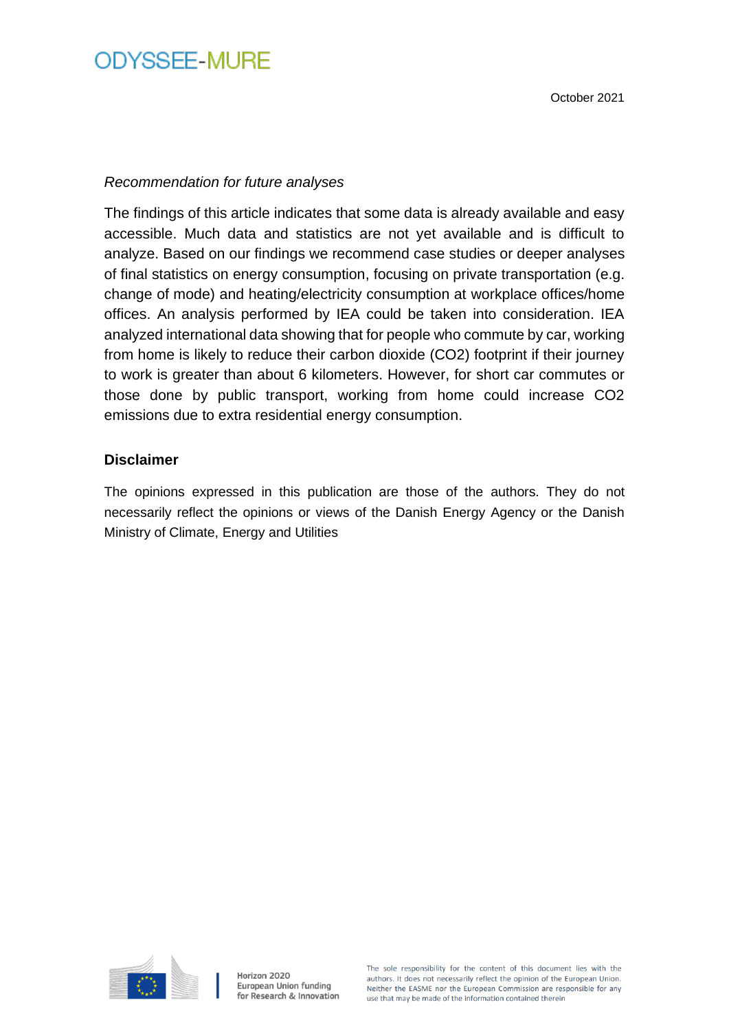#### *Recommendation for future analyses*

The findings of this article indicates that some data is already available and easy accessible. Much data and statistics are not yet available and is difficult to analyze. Based on our findings we recommend case studies or deeper analyses of final statistics on energy consumption, focusing on private transportation (e.g. change of mode) and heating/electricity consumption at workplace offices/home offices. An analysis performed by IEA could be taken into consideration. IEA analyzed international data showing that for people who commute by car, working from home is likely to reduce their carbon dioxide (CO2) footprint if their journey to work is greater than about 6 kilometers. However, for short car commutes or those done by public transport, working from home could increase CO2 emissions due to extra residential energy consumption.

#### **Disclaimer**

The opinions expressed in this publication are those of the authors. They do not necessarily reflect the opinions or views of the Danish Energy Agency or the Danish Ministry of Climate, Energy and Utilities